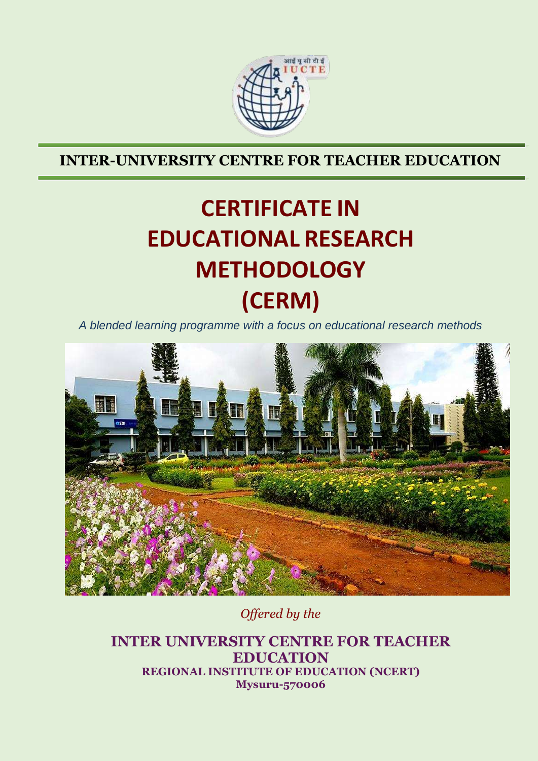

**INTER-UNIVERSITY CENTRE FOR TEACHER EDUCATION**

# **CERTIFICATE IN EDUCATIONAL RESEARCH METHODOLOGY (CERM)**

*A blended learning programme with a focus on educational research methods*



*Offered by the*

**INTER UNIVERSITY CENTRE FOR TEACHER EDUCATION REGIONAL INSTITUTE OF EDUCATION (NCERT) Mysuru-570006**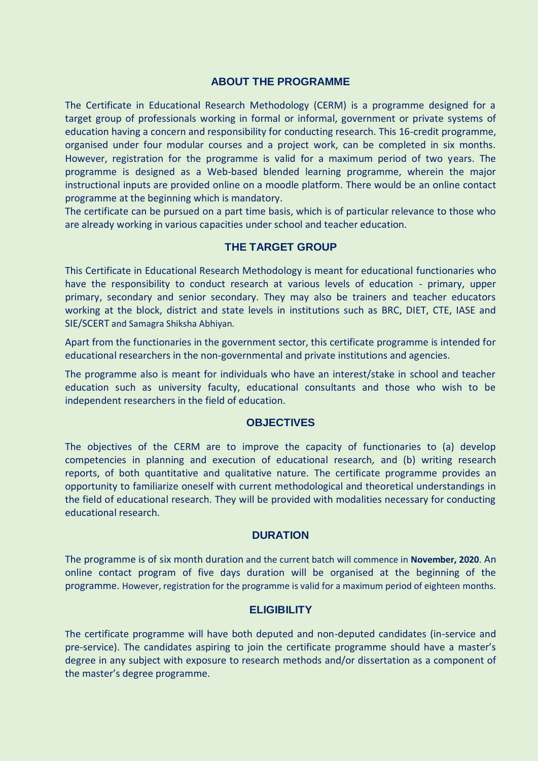#### **ABOUT THE PROGRAMME**

The Certificate in Educational Research Methodology (CERM) is a programme designed for a target group of professionals working in formal or informal, government or private systems of education having a concern and responsibility for conducting research. This 16-credit programme, organised under four modular courses and a project work, can be completed in six months. However, registration for the programme is valid for a maximum period of two years. The programme is designed as a Web-based blended learning programme, wherein the major instructional inputs are provided online on a moodle platform. There would be an online contact programme at the beginning which is mandatory.

The certificate can be pursued on a part time basis, which is of particular relevance to those who are already working in various capacities under school and teacher education.

### **THE TARGET GROUP**

This Certificate in Educational Research Methodology is meant for educational functionaries who have the responsibility to conduct research at various levels of education - primary, upper primary, secondary and senior secondary. They may also be trainers and teacher educators working at the block, district and state levels in institutions such as BRC, DIET, CTE, IASE and SIE/SCERT and Samagra Shiksha Abhiyan.

Apart from the functionaries in the government sector, this certificate programme is intended for educational researchers in the non-governmental and private institutions and agencies.

The programme also is meant for individuals who have an interest/stake in school and teacher education such as university faculty, educational consultants and those who wish to be independent researchers in the field of education.

#### **OBJECTIVES**

The objectives of the CERM are to improve the capacity of functionaries to (a) develop competencies in planning and execution of educational research*,* and (b) writing research reports, of both quantitative and qualitative nature*.* The certificate programme provides an opportunity to familiarize oneself with current methodological and theoretical understandings in the field of educational research. They will be provided with modalities necessary for conducting educational research.

#### **DURATION**

The programme is of six month duration and the current batch will commence in **November, 2020**. An online contact program of five days duration will be organised at the beginning of the programme. However, registration for the programme is valid for a maximum period of eighteen months.

### **ELIGIBILITY**

The certificate programme will have both deputed and non-deputed candidates (in-service and pre-service). The candidates aspiring to join the certificate programme should have a master's degree in any subject with exposure to research methods and/or dissertation as a component of the master's degree programme.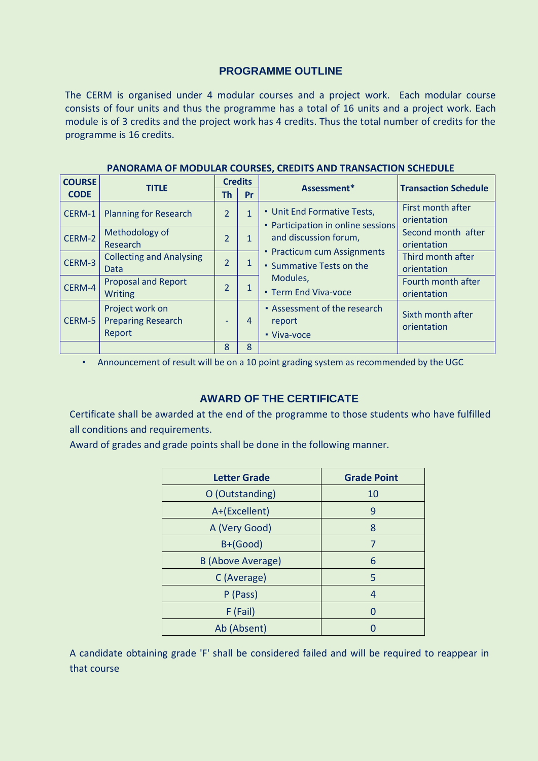## **PROGRAMME OUTLINE**

The CERM is organised under 4 modular courses and a project work. Each modular course consists of four units and thus the programme has a total of 16 units and a project work. Each module is of 3 credits and the project work has 4 credits. Thus the total number of credits for the programme is 16 credits.

| <b>COURSE</b> | <b>TITLE</b>                                           | <b>Credits</b>               |                | Assessment*                                                                                                                                                                             | <b>Transaction Schedule</b>       |
|---------------|--------------------------------------------------------|------------------------------|----------------|-----------------------------------------------------------------------------------------------------------------------------------------------------------------------------------------|-----------------------------------|
| <b>CODE</b>   |                                                        | Th                           | Pr             |                                                                                                                                                                                         |                                   |
| CERM-1        | <b>Planning for Research</b>                           | $\overline{2}$               | $\overline{1}$ | • Unit End Formative Tests,<br>Participation in online sessions<br>and discussion forum,<br>• Practicum cum Assignments<br>• Summative Tests on the<br>Modules,<br>• Term End Viva-voce | First month after<br>orientation  |
| CERM-2        | Methodology of<br>Research                             | $\overline{2}$               | $\mathbf{1}$   |                                                                                                                                                                                         | Second month after<br>orientation |
| CERM-3        | <b>Collecting and Analysing</b><br>Data                | $\overline{2}$               | 1              |                                                                                                                                                                                         | Third month after<br>orientation  |
| CERM-4        | <b>Proposal and Report</b><br><b>Writing</b>           | $\overline{2}$               | 1              |                                                                                                                                                                                         | Fourth month after<br>orientation |
| CERM-5        | Project work on<br><b>Preparing Research</b><br>Report | $\qquad \qquad \blacksquare$ | 4              | • Assessment of the research<br>report<br>• Viva-voce                                                                                                                                   | Sixth month after<br>orientation  |
|               |                                                        | 8                            | 8              |                                                                                                                                                                                         |                                   |

#### **PANORAMA OF MODULAR COURSES, CREDITS AND TRANSACTION SCHEDULE**

▪ Announcement of result will be on a 10 point grading system as recommended by the UGC

## **AWARD OF THE CERTIFICATE**

Certificate shall be awarded at the end of the programme to those students who have fulfilled all conditions and requirements.

Award of grades and grade points shall be done in the following manner.

| <b>Letter Grade</b>      | <b>Grade Point</b> |  |
|--------------------------|--------------------|--|
| O (Outstanding)          | 10                 |  |
| A+(Excellent)            | 9                  |  |
| A (Very Good)            | 8                  |  |
| B+(Good)                 | 7                  |  |
| <b>B</b> (Above Average) | 6                  |  |
| C (Average)              | 5                  |  |
| P (Pass)                 | 4                  |  |
| $F$ (Fail)               | O                  |  |
| Ab (Absent)              |                    |  |

A candidate obtaining grade 'F' shall be considered failed and will be required to reappear in that course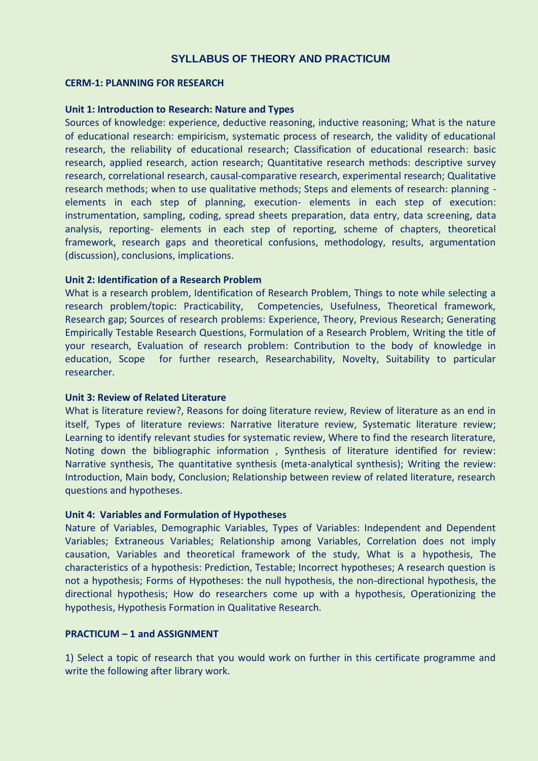## **SYLLABUS OF THEORY AND PRACTICUM**

#### **CERM-1: PLANNING FOR RESEARCH**

#### **Unit 1: Introduction to Research: Nature and Types**

Sources of knowledge: experience, deductive reasoning, inductive reasoning; What is the nature of educational research: empiricism, systematic process of research, the validity of educational research, the reliability of educational research; Classification of educational research: basic research, applied research, action research; Quantitative research methods: descriptive survey research, correlational research, causal-comparative research, experimental research; Qualitative research methods; when to use qualitative methods; Steps and elements of research: planning elements in each step of planning, execution- elements in each step of execution: instrumentation, sampling, coding, spread sheets preparation, data entry, data screening, data analysis, reporting- elements in each step of reporting, scheme of chapters, theoretical framework, research gaps and theoretical confusions, methodology, results, argumentation (discussion), conclusions, implications.

#### **Unit 2: Identification of a Research Problem**

What is a research problem, Identification of Research Problem, Things to note while selecting a research problem/topic: Practicability, Competencies, Usefulness, Theoretical framework, Research gap; Sources of research problems: Experience, Theory, Previous Research; Generating Empirically Testable Research Questions, Formulation of a Research Problem, Writing the title of your research, Evaluation of research problem: Contribution to the body of knowledge in education, Scope for further research, Researchability, Novelty, Suitability to particular researcher.

#### **Unit 3: Review of Related Literature**

What is literature review?, Reasons for doing literature review, Review of literature as an end in itself, Types of literature reviews: Narrative literature review, Systematic literature review; Learning to identify relevant studies for systematic review, Where to find the research literature, Noting down the bibliographic information , Synthesis of literature identified for review: Narrative synthesis, The quantitative synthesis (meta-analytical synthesis); Writing the review: Introduction, Main body, Conclusion; Relationship between review of related literature, research questions and hypotheses.

#### **Unit 4: Variables and Formulation of Hypotheses**

Nature of Variables, Demographic Variables, Types of Variables: Independent and Dependent Variables; Extraneous Variables; Relationship among Variables, Correlation does not imply causation, Variables and theoretical framework of the study, What is a hypothesis, The characteristics of a hypothesis: Prediction, Testable; Incorrect hypotheses; A research question is not a hypothesis; Forms of Hypotheses: the null hypothesis, the non-directional hypothesis, the directional hypothesis; How do researchers come up with a hypothesis, Operationizing the hypothesis, Hypothesis Formation in Qualitative Research.

#### **PRACTICUM – 1 and ASSIGNMENT**

1) Select a topic of research that you would work on further in this certificate programme and write the following after library work.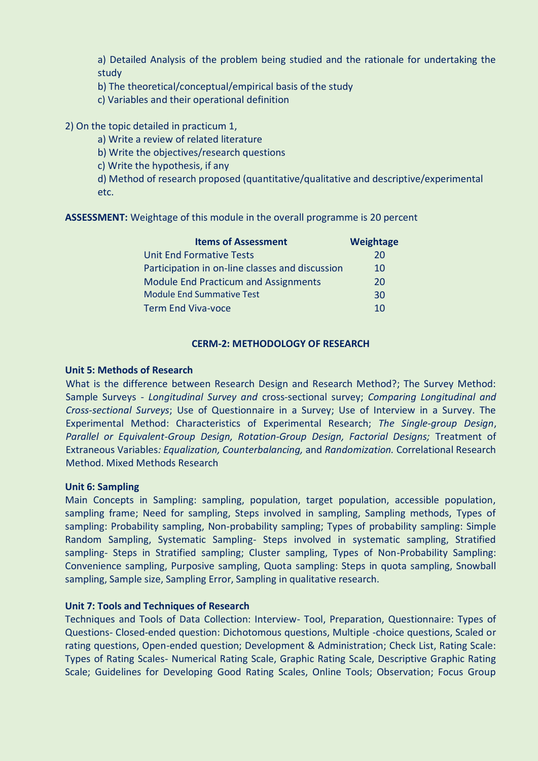a) Detailed Analysis of the problem being studied and the rationale for undertaking the study

- b) The theoretical/conceptual/empirical basis of the study
- c) Variables and their operational definition

#### 2) On the topic detailed in practicum 1,

- a) Write a review of related literature
- b) Write the objectives/research questions
- c) Write the hypothesis, if any
- d) Method of research proposed (quantitative/qualitative and descriptive/experimental etc.

**ASSESSMENT:** Weightage of this module in the overall programme is 20 percent

| <b>Items of Assessment</b>                      | <b>Weightage</b> |
|-------------------------------------------------|------------------|
| <b>Unit End Formative Tests</b>                 | 20               |
| Participation in on-line classes and discussion | 10               |
| <b>Module End Practicum and Assignments</b>     | 20               |
| <b>Module End Summative Test</b>                | 30               |
| <b>Term End Viva-voce</b>                       | 10               |

### **CERM-2: METHODOLOGY OF RESEARCH**

#### **Unit 5: Methods of Research**

What is the difference between Research Design and Research Method?; The Survey Method: Sample Surveys - *Longitudinal Survey and* cross-sectional survey; *Comparing Longitudinal and Cross-sectional Surveys*; Use of Questionnaire in a Survey; Use of Interview in a Survey. The Experimental Method: Characteristics of Experimental Research; *The Single‐group Design*, *Parallel or Equivalent-Group Design, Rotation‐Group Design, Factorial Designs;* Treatment of Extraneous Variables*: Equalization, Counterbalancing,* and *Randomization.* Correlational Research Method. Mixed Methods Research

#### **Unit 6: Sampling**

Main Concepts in Sampling: sampling, population, target population, accessible population, sampling frame; Need for sampling, Steps involved in sampling, Sampling methods, Types of sampling: Probability sampling, Non-probability sampling; Types of probability sampling: Simple Random Sampling, Systematic Sampling- Steps involved in systematic sampling, Stratified sampling- Steps in Stratified sampling; Cluster sampling, Types of Non-Probability Sampling: Convenience sampling, Purposive sampling, Quota sampling: Steps in quota sampling, Snowball sampling, Sample size, Sampling Error, Sampling in qualitative research.

#### **Unit 7: Tools and Techniques of Research**

Techniques and Tools of Data Collection: Interview- Tool, Preparation, Questionnaire: Types of Questions- Closed-ended question: Dichotomous questions, Multiple -choice questions, Scaled or rating questions, Open-ended question; Development & Administration; Check List, Rating Scale: Types of Rating Scales- Numerical Rating Scale, Graphic Rating Scale, Descriptive Graphic Rating Scale; Guidelines for Developing Good Rating Scales, Online Tools; Observation; Focus Group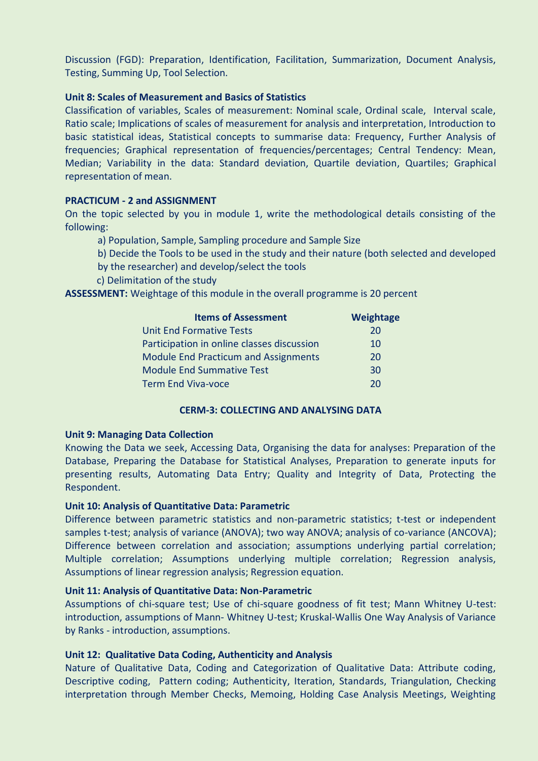Discussion (FGD): Preparation, Identification, Facilitation, Summarization, Document Analysis, Testing, Summing Up, Tool Selection.

#### **Unit 8: Scales of Measurement and Basics of Statistics**

Classification of variables, Scales of measurement: Nominal scale, Ordinal scale, Interval scale, Ratio scale; Implications of scales of measurement for analysis and interpretation, Introduction to basic statistical ideas, Statistical concepts to summarise data: Frequency, Further Analysis of frequencies; Graphical representation of frequencies/percentages; Central Tendency: Mean, Median; Variability in the data: Standard deviation, Quartile deviation, Quartiles; Graphical representation of mean.

### **PRACTICUM - 2 and ASSIGNMENT**

On the topic selected by you in module 1, write the methodological details consisting of the following:

- a) Population, Sample, Sampling procedure and Sample Size
- b) Decide the Tools to be used in the study and their nature (both selected and developed
- by the researcher) and develop/select the tools
- c) Delimitation of the study

**ASSESSMENT:** Weightage of this module in the overall programme is 20 percent

| <b>Items of Assessment</b>                  | Weightage |
|---------------------------------------------|-----------|
| <b>Unit End Formative Tests</b>             | 20        |
| Participation in online classes discussion  | 10        |
| <b>Module End Practicum and Assignments</b> | 20        |
| <b>Module End Summative Test</b>            | 30        |
| <b>Term End Viva-voce</b>                   | 20        |

#### **CERM-3: COLLECTING AND ANALYSING DATA**

#### **Unit 9: Managing Data Collection**

Knowing the Data we seek, Accessing Data, Organising the data for analyses: Preparation of the Database, Preparing the Database for Statistical Analyses, Preparation to generate inputs for presenting results, Automating Data Entry; Quality and Integrity of Data, Protecting the Respondent.

#### **Unit 10: Analysis of Quantitative Data: Parametric**

Difference between parametric statistics and non-parametric statistics; t-test or independent samples t-test; analysis of variance (ANOVA); two way ANOVA; analysis of co-variance (ANCOVA); Difference between correlation and association; assumptions underlying partial correlation; Multiple correlation; Assumptions underlying multiple correlation; Regression analysis, Assumptions of linear regression analysis; Regression equation.

#### **Unit 11: Analysis of Quantitative Data: Non-Parametric**

Assumptions of chi-square test; Use of chi-square goodness of fit test; Mann Whitney U-test: introduction, assumptions of Mann- Whitney U-test; Kruskal-Wallis One Way Analysis of Variance by Ranks - introduction, assumptions.

#### **Unit 12: Qualitative Data Coding, Authenticity and Analysis**

Nature of Qualitative Data, Coding and Categorization of Qualitative Data: Attribute coding, Descriptive coding, Pattern coding; Authenticity, Iteration, Standards, Triangulation, Checking interpretation through Member Checks, Memoing, Holding Case Analysis Meetings, Weighting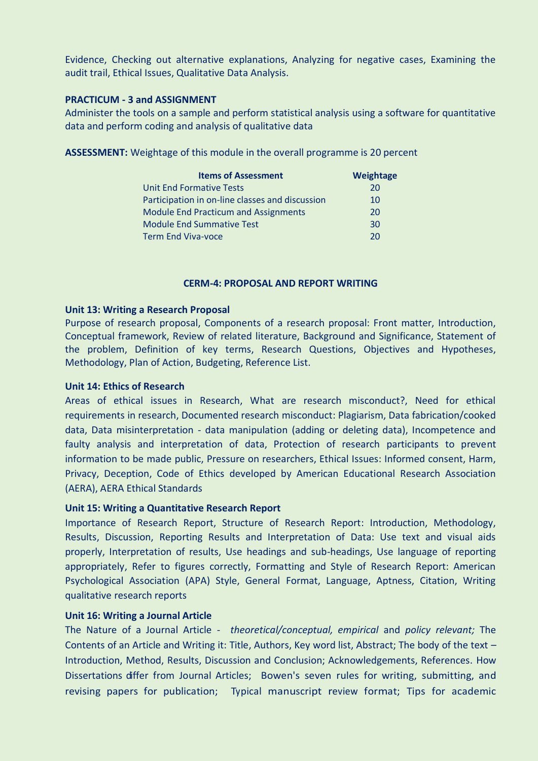Evidence, Checking out alternative explanations, Analyzing for negative cases, Examining the audit trail, Ethical Issues, Qualitative Data Analysis.

#### **PRACTICUM - 3 and ASSIGNMENT**

Administer the tools on a sample and perform statistical analysis using a software for quantitative data and perform coding and analysis of qualitative data

**ASSESSMENT:** Weightage of this module in the overall programme is 20 percent

| <b>Items of Assessment</b>                      | Weightage |
|-------------------------------------------------|-----------|
| <b>Unit End Formative Tests</b>                 | 20        |
| Participation in on-line classes and discussion | 10        |
| <b>Module End Practicum and Assignments</b>     | 20        |
| <b>Module End Summative Test</b>                | 30        |
| <b>Term End Viva-voce</b>                       | 20        |

#### **CERM-4: PROPOSAL AND REPORT WRITING**

#### **Unit 13: Writing a Research Proposal**

Purpose of research proposal, Components of a research proposal: Front matter, Introduction, Conceptual framework, Review of related literature, Background and Significance, Statement of the problem, Definition of key terms, Research Questions, Objectives and Hypotheses, Methodology, Plan of Action, Budgeting, Reference List.

#### **Unit 14: Ethics of Research**

Areas of ethical issues in Research, What are research misconduct?, Need for ethical requirements in research, Documented research misconduct: Plagiarism, Data fabrication/cooked data, Data misinterpretation - data manipulation (adding or deleting data), Incompetence and faulty analysis and interpretation of data, Protection of research participants to prevent information to be made public, Pressure on researchers, Ethical Issues: Informed consent, Harm, Privacy, Deception, Code of Ethics developed by American Educational Research Association (AERA), AERA Ethical Standards

#### **Unit 15: Writing a Quantitative Research Report**

Importance of Research Report, Structure of Research Report: Introduction, Methodology, Results, Discussion, Reporting Results and Interpretation of Data: Use text and visual aids properly, Interpretation of results, Use headings and sub-headings, Use language of reporting appropriately, Refer to figures correctly, Formatting and Style of Research Report: American Psychological Association (APA) Style, General Format, Language, Aptness, Citation, Writing qualitative research reports

#### **Unit 16: Writing a Journal Article**

The Nature of a Journal Article - *theoretical/conceptual, empirical* and *policy relevant;* The Contents of an Article and Writing it: Title, Authors, Key word list, Abstract; The body of the text – Introduction, Method, Results, Discussion and Conclusion; Acknowledgements, References. How Dissertations differ from Journal Articles; Bowen's seven rules for writing, submitting, and revising papers for publication; Typical manuscript review format; Tips for academic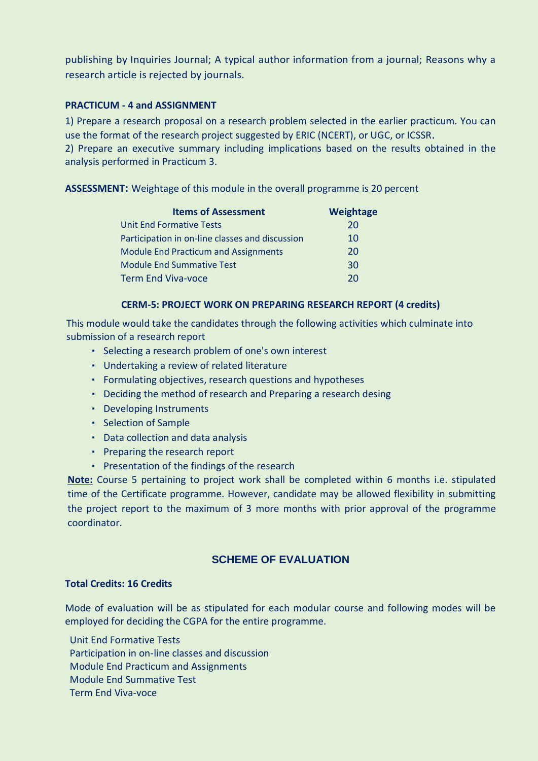publishing by Inquiries Journal; A typical author information from a journal; Reasons why a research article is rejected by journals.

### **PRACTICUM - 4 and ASSIGNMENT**

1) Prepare a research proposal on a research problem selected in the earlier practicum. You can use the format of the research project suggested by ERIC (NCERT), or UGC, or ICSSR.

2) Prepare an executive summary including implications based on the results obtained in the analysis performed in Practicum 3.

**ASSESSMENT:** Weightage of this module in the overall programme is 20 percent

| <b>Items of Assessment</b>                      | <b>Weightage</b> |
|-------------------------------------------------|------------------|
| <b>Unit End Formative Tests</b>                 | 20               |
| Participation in on-line classes and discussion | 10               |
| <b>Module End Practicum and Assignments</b>     | 20               |
| <b>Module End Summative Test</b>                | 30               |
| <b>Term End Viva-voce</b>                       | 20               |

### **CERM-5: PROJECT WORK ON PREPARING RESEARCH REPORT (4 credits)**

This module would take the candidates through the following activities which culminate into submission of a research report

- Selecting a research problem of one's own interest
- Undertaking a review of related literature
- Formulating objectives, research questions and hypotheses
- Deciding the method of research and Preparing a research desing
- Developing Instruments
- Selection of Sample
- Data collection and data analysis
- Preparing the research report
- Presentation of the findings of the research

**Note:** Course 5 pertaining to project work shall be completed within 6 months i.e. stipulated time of the Certificate programme. However, candidate may be allowed flexibility in submitting the project report to the maximum of 3 more months with prior approval of the programme coordinator.

## **SCHEME OF EVALUATION**

#### **Total Credits: 16 Credits**

Mode of evaluation will be as stipulated for each modular course and following modes will be employed for deciding the CGPA for the entire programme.

Unit End Formative Tests Participation in on-line classes and discussion Module End Practicum and Assignments Module End Summative Test Term End Viva-voce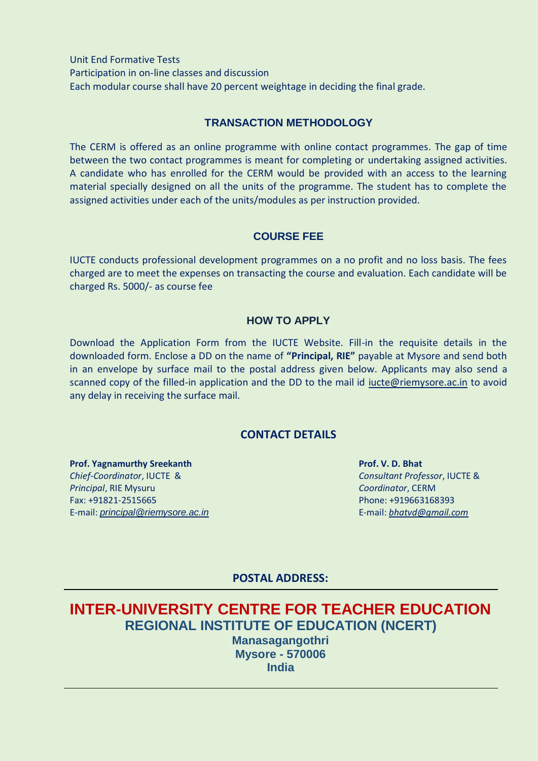Unit End Formative Tests Participation in on-line classes and discussion Each modular course shall have 20 percent weightage in deciding the final grade.

## **TRANSACTION METHODOLOGY**

The CERM is offered as an online programme with online contact programmes. The gap of time between the two contact programmes is meant for completing or undertaking assigned activities. A candidate who has enrolled for the CERM would be provided with an access to the learning material specially designed on all the units of the programme. The student has to complete the assigned activities under each of the units/modules as per instruction provided.

## **COURSE FEE**

IUCTE conducts professional development programmes on a no profit and no loss basis. The fees charged are to meet the expenses on transacting the course and evaluation. Each candidate will be charged Rs. 5000/- as course fee

### **HOW TO APPLY**

Download the Application Form from the IUCTE Website. Fill-in the requisite details in the downloaded form. Enclose a DD on the name of **"Principal, RIE"** payable at Mysore and send both in an envelope by surface mail to the postal address given below. Applicants may also send a scanned copy of the filled-in application and the DD to the mail id jucte@riemysore.ac.in to avoid any delay in receiving the surface mail.

## **CONTACT DETAILS**

**Prof. Yagnamurthy Sreekanth** *Chief-Coordinator*, IUCTE & *Principal*, RIE Mysuru Fax: +91821-2515665 E-mail: *[principal@riemysore.ac.in](mailto:principal@riemysore.ac.in)* **Prof. V. D. Bhat** *Consultant Professor*, IUCTE & *Coordinator*, CERM Phone: +919663168393 E-mail: *[bhatvd@gmail.com](mailto:bhatvd@gmail.com)*

**POSTAL ADDRESS:**

# **INTER-UNIVERSITY CENTRE FOR TEACHER EDUCATION REGIONAL INSTITUTE OF EDUCATION (NCERT) Manasagangothri Mysore - 570006 India**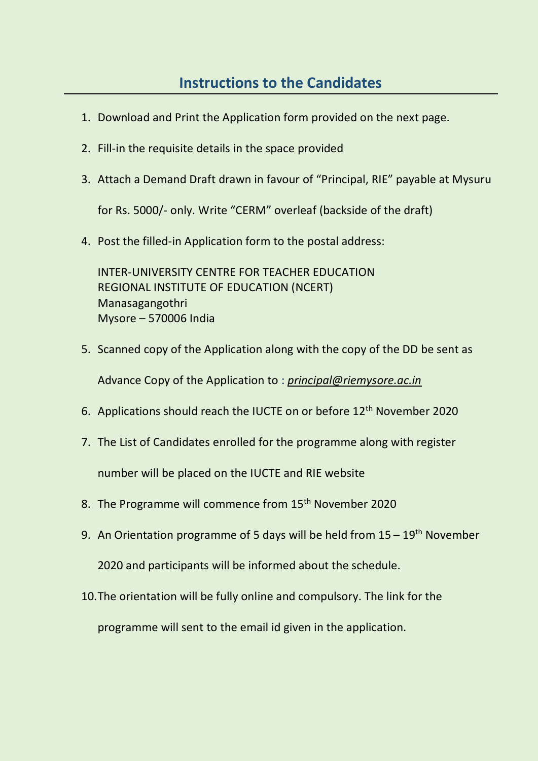- 1. Download and Print the Application form provided on the next page.
- 2. Fill-in the requisite details in the space provided
- 3. Attach a Demand Draft drawn in favour of "Principal, RIE" payable at Mysuru

for Rs. 5000/- only. Write "CERM" overleaf (backside of the draft)

4. Post the filled-in Application form to the postal address:

INTER-UNIVERSITY CENTRE FOR TEACHER EDUCATION REGIONAL INSTITUTE OF EDUCATION (NCERT) Manasagangothri Mysore – 570006 India

- 5. Scanned copy of the Application along with the copy of the DD be sent as Advance Copy of the Application to : *[principal@riemysore.ac.in](mailto:principal@riemysore.ac.in)*
- 6. Applications should reach the IUCTE on or before 12th November 2020
- 7. The List of Candidates enrolled for the programme along with register number will be placed on the IUCTE and RIE website
- 8. The Programme will commence from 15<sup>th</sup> November 2020
- 9. An Orientation programme of 5 days will be held from  $15 19$ <sup>th</sup> November

2020 and participants will be informed about the schedule.

10.The orientation will be fully online and compulsory. The link for the

programme will sent to the email id given in the application.